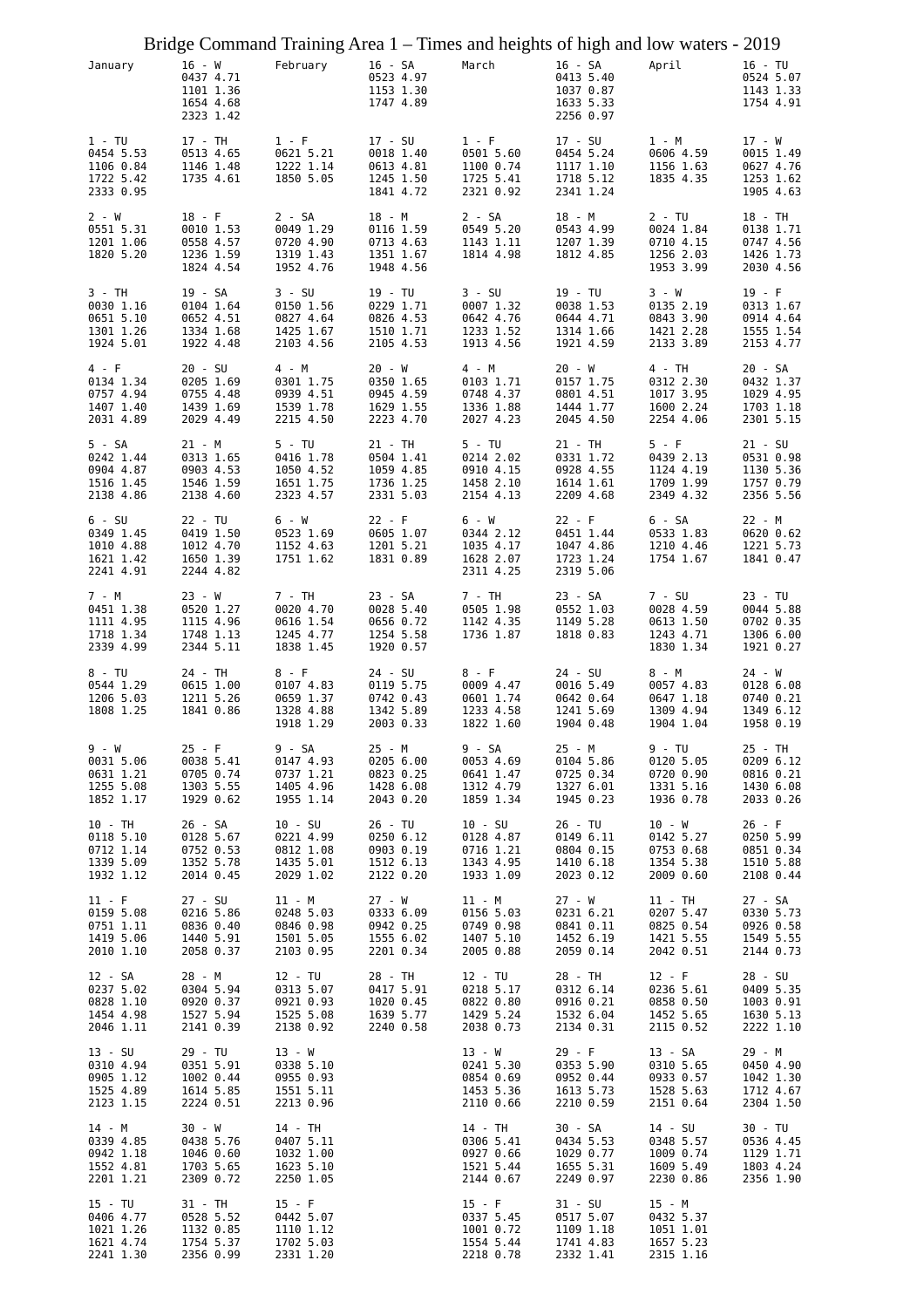|                                                              |                                                              | Bridge Command Training Area 1 - Times and heights of high and low waters - 2019 |                                                             |                                                              |                                                                   |                                                              |                                                             |
|--------------------------------------------------------------|--------------------------------------------------------------|----------------------------------------------------------------------------------|-------------------------------------------------------------|--------------------------------------------------------------|-------------------------------------------------------------------|--------------------------------------------------------------|-------------------------------------------------------------|
| January                                                      | 16 - W<br>0437 4.71<br>1101 1.36<br>1654 4.68<br>2323 1.42   | February 16 - SA                                                                 | 0523 4.97<br>1153 1.30<br>1747 4.89                         | March                                                        | 16 - SA April<br>0413 5.40<br>1037 0.87<br>1633 5.33<br>2256 0.97 |                                                              | 16 - TU<br>0524 5.07<br>1143 1.33<br>1754 4.91              |
| $1 - TU$<br>0454 5.53<br>1106 0.84<br>1722 5.42<br>2333 0.95 | 17 - TH<br>0513 4.65<br>1146 1.48<br>1735 4.61               | $1 - F$<br>0621 5.21<br>1222 1.14<br>1850 5.05                                   | 17 - SU<br>0018 1.40<br>0613 4.81<br>1245 1.50<br>1841 4.72 | $1 - F$<br>0501 5.60<br>1100 0.74<br>1725 5.41<br>2321 0.92  | 17 - SU<br>0454 5.24<br>1117 1.10<br>1718 5.12<br>2341 1.24       | 1 - M<br>0606 4.59<br>1156 1.63<br>1835 4.35                 | 17 - W<br>0015 1.49<br>0627 4.76<br>1253 1.62<br>1905 4.63  |
| $2 - W$<br>0551 5.31<br>1201 1.06<br>1820 5.20               | $18 - F$<br>0010 1.53<br>0558 4.57<br>1236 1.59<br>1824 4.54 | $2 - SA$<br>0049 1.29<br>0720 4.90<br>1319 1.43<br>1952 4.76                     | 18 - M<br>0116 1.59<br>0713 4.63<br>1351 1.67<br>1948 4.56  | $2 - SA$<br>0549 5.20<br>1143 1.11<br>1814 4.98              | 18 - M<br>0543 4.99<br>1207 1.39<br>1812 4.85                     | $2 - TU$<br>0024 1.84<br>0710 4.15<br>1256 2.03<br>1953 3.99 | 18 - TH<br>0138 1.71<br>0747 4.56<br>1426 1.73<br>2030 4.56 |
| 3 - TH                                                       | 19 - SA                                                      | $3 - SU$                                                                         | 19 - TU                                                     | $3 - SU$                                                     | 19 - TU                                                           | 3 - W                                                        | $19 - F$                                                    |
| 0030 1.16                                                    | 0104 1.64                                                    | 0150 1.56                                                                        | 0229 1.71                                                   | 0007 1.32                                                    | 0038 1.53                                                         | 0135 2.19                                                    | 0313 1.67                                                   |
| 0651 5.10                                                    | 0652 4.51                                                    | 0827 4.64                                                                        | 0826 4.53                                                   | 0642 4.76                                                    | 0644 4.71                                                         | 0843 3.90                                                    | 0914 4.64                                                   |
| 1301 1.26                                                    | 1334 1.68                                                    | 1425 1.67                                                                        | 1510 1.71                                                   | 1233 1.52                                                    | 1314 1.66                                                         | 1421 2.28                                                    | 1555 1.54                                                   |
| 1924 5.01                                                    | 1922 4.48                                                    | 2103 4.56                                                                        | 2105 4.53                                                   | 1913 4.56                                                    | 1921 4.59                                                         | 2133 3.89                                                    | 2153 4.77                                                   |
| 4 - F                                                        | $20 - SU$                                                    | 4 - M                                                                            | 20 - W                                                      | 4 - M                                                        | 20 - W                                                            | $4 - TH$                                                     | 20 - SA                                                     |
| 0134 1.34                                                    | 0205 1.69                                                    | 0301 1.75                                                                        | 0350 1.65                                                   | 0103 1.71                                                    | 0157 1.75                                                         | 0312 2.30                                                    | 0432 1.37                                                   |
| 0757 4.94                                                    | 0755 4.48                                                    | 0939 4.51                                                                        | 0945 4.59                                                   | 0748 4.37                                                    | 0801 4.51                                                         | 1017 3.95                                                    | 1029 4.95                                                   |
| 1407 1.40                                                    | 1439 1.69                                                    | 1539 1.78                                                                        | 1629 1.55                                                   | 1336 1.88                                                    | 1444 1.77                                                         | 1600 2.24                                                    | 1703 1.18                                                   |
| 2031 4.89                                                    | 2029 4.49                                                    | 2215 4.50                                                                        | 2223 4.70                                                   | 2027 4.23                                                    | 2045 4.50                                                         | 2254 4.06                                                    | 2301 5.15                                                   |
| 5 - SA                                                       | $21 - M$                                                     | $5 - TU$                                                                         | 21 - TH                                                     | $5 - TU$                                                     | 21 - TH                                                           | $5 - F$                                                      | $21 - SU$                                                   |
| 0242 1.44                                                    | 0313 1.65                                                    | 0416 1.78                                                                        | 0504 1.41                                                   | 0214 2.02                                                    | 0331 1.72                                                         | 0439 2.13                                                    | 0531 0.98                                                   |
| 0904 4.87                                                    | 0903 4.53                                                    | 1050 4.52                                                                        | 1059 4.85                                                   | 0910 4.15                                                    | 0928 4.55                                                         | 1124 4.19                                                    | 1130 5.36                                                   |
| 1516 1.45                                                    | 1546 1.59                                                    | 1651 1.75                                                                        | 1736 1.25                                                   | 1458 2.10                                                    | 1614 1.61                                                         | 1709 1.99                                                    | 1757 0.79                                                   |
| 2138 4.86                                                    | 2138 4.60                                                    | 2323 4.57                                                                        | 2331 5.03                                                   | 2154 4.13                                                    | 2209 4.68                                                         | 2349 4.32                                                    | 2356 5.56                                                   |
| $6 - SU$<br>0349 1.45<br>1010 4.88<br>1621 1.42<br>2241 4.91 | 22 - TU<br>0419 1.50<br>1012 4.70<br>1650 1.39<br>2244 4.82  | 6 - W<br>0523 1.69<br>1152 4.63<br>1751 1.62                                     | $22 - F$<br>0605 1.07<br>1201 5.21<br>1831 0.89             | 6 - W<br>0344 2.12<br>1035 4.17<br>1628 2.07<br>2311 4.25    | $22 - F$<br>0451 1.44<br>1047 4.86<br>1723 1.24<br>2319 5.06      | 6 - SA<br>0533 1.83<br>1210 4.46<br>1754 1.67                | 22 - M<br>0620 0.62<br>1221 5.73<br>1841 0.47               |
| 7 - M<br>0451 1.38<br>1111 4.95<br>1718 1.34<br>2339 4.99    | 23 - W<br>0520 1.27<br>1115 4.96<br>1748 1.13<br>2344 5.11   | 7 - TH<br>0020 4.70<br>0616 1.54<br>1245 4.77<br>1838 1.45                       | 23 - SA<br>0028 5.40<br>0656 0.72<br>1254 5.58<br>1920 0.57 | 7 - TH<br>0505 1.98<br>1142 4.35<br>1736 1.87                | 23 - SA<br>0552 1.03<br>1149 5.28<br>1818 0.83                    | 7 - SU<br>0028 4.59<br>0613 1.50<br>1243 4.71<br>1830 1.34   | 23 - TU<br>0044 5.88<br>0702 0.35<br>1306 6.00<br>1921 0.27 |
| $8 - TU$<br>0544 1.29<br>1206 5.03<br>1808 1.25              | 24 - TH<br>0615 1.00<br>1211 5.26<br>1841 0.86               | $8 - F$<br>0107 4.83<br>0659 1.37<br>1328 4.88<br>1918 1.29                      | 24 - SU<br>0119 5.75<br>0742 0.43<br>1342 5.89<br>2003 0.33 | 8 - F<br>0009 4.47<br>0601 1.74<br>1233 4.58<br>1822 1.60    | 24 - SU<br>0016 5.49<br>0642 0.64<br>1241 5.69<br>1904 0.48       | 8 - M<br>0057 4.83<br>0647 1.18<br>1309 4.94<br>1904 1.04    | 24 - W<br>0128 6.08<br>0740 0.21<br>1349 6.12<br>1958 0.19  |
| 9 - W                                                        | $25 - F$                                                     | 9 - SA                                                                           | $25 - M$                                                    | 9 - SA                                                       | 25 - M                                                            | 9 - TU                                                       | 25 - TH                                                     |
| 0031 5.06                                                    | 0038 5.41                                                    | 0147 4.93                                                                        | 0205 6.00                                                   | 0053 4.69                                                    | 0104 5.86                                                         | 0120 5.05                                                    | 0209 6.12                                                   |
| 0631 1.21                                                    | 0705 0.74                                                    | 0737 1.21                                                                        | 0823 0.25                                                   | 0641 1.47                                                    | 0725 0.34                                                         | 0720 0.90                                                    | 0816 0.21                                                   |
| 1255 5.08                                                    | 1303 5.55                                                    | 1405 4.96                                                                        | 1428 6.08                                                   | 1312 4.79                                                    | 1327 6.01                                                         | 1331 5.16                                                    | 1430 6.08                                                   |
| 1852 1.17                                                    | 1929 0.62                                                    | 1955 1.14                                                                        | 2043 0.20                                                   | 1859 1.34                                                    | 1945 0.23                                                         | 1936 0.78                                                    | 2033 0.26                                                   |
| 10 - TH                                                      | 26 - SA                                                      | $10 - SU$                                                                        | 26 - TU                                                     | $10 - SU$                                                    | 26 - TU                                                           | 10 - W                                                       | $26 - F$                                                    |
| 0118 5.10                                                    | 0128 5.67                                                    | 0221 4.99                                                                        | 0250 6.12                                                   | 0128 4.87                                                    | 0149 6.11                                                         | 0142 5.27                                                    | 0250 5.99                                                   |
| 0712 1.14                                                    | 0752 0.53                                                    | 0812 1.08                                                                        | 0903 0.19                                                   | 0716 1.21                                                    | 0804 0.15                                                         | 0753 0.68                                                    | 0851 0.34                                                   |
| 1339 5.09                                                    | 1352 5.78                                                    | 1435 5.01                                                                        | 1512 6.13                                                   | 1343 4.95                                                    | 1410 6.18                                                         | 1354 5.38                                                    | 1510 5.88                                                   |
| 1932 1.12                                                    | 2014 0.45                                                    | 2029 1.02                                                                        | 2122 0.20                                                   | 1933 1.09                                                    | 2023 0.12                                                         | 2009 0.60                                                    | 2108 0.44                                                   |
| $11 - F$                                                     | $27 - SU$                                                    | 11 - M                                                                           | 27 - W                                                      | 11 - M                                                       | 27 - W                                                            | 11 - TH                                                      | 27 - SA                                                     |
| 0159 5.08                                                    | 0216 5.86                                                    | 0248 5.03                                                                        | 0333 6.09                                                   | 0156 5.03                                                    | 0231 6.21                                                         | 0207 5.47                                                    | 0330 5.73                                                   |
| 0751 1.11                                                    | 0836 0.40                                                    | 0846 0.98                                                                        | 0942 0.25                                                   | 0749 0.98                                                    | 0841 0.11                                                         | 0825 0.54                                                    | 0926 0.58                                                   |
| 1419 5.06                                                    | 1440 5.91                                                    | 1501 5.05                                                                        | 1555 6.02                                                   | 1407 5.10                                                    | 1452 6.19                                                         | 1421 5.55                                                    | 1549 5.55                                                   |
| 2010 1.10                                                    | 2058 0.37                                                    | 2103 0.95                                                                        | 2201 0.34                                                   | 2005 0.88                                                    | 2059 0.14                                                         | 2042 0.51                                                    | 2144 0.73                                                   |
| 12 - SA                                                      | 28 - M                                                       | 12 - TU                                                                          | 28 - TH                                                     | 12 - TU                                                      | 28 - TH                                                           | $12 - F$                                                     | 28 - SU                                                     |
| 0237 5.02                                                    | 0304 5.94                                                    | 0313 5.07                                                                        | 0417 5.91                                                   | 0218 5.17                                                    | 0312 6.14                                                         | 0236 5.61                                                    | 0409 5.35                                                   |
| 0828 1.10                                                    | 0920 0.37                                                    | 0921 0.93                                                                        | 1020 0.45                                                   | 0822 0.80                                                    | 0916 0.21                                                         | 0858 0.50                                                    | 1003 0.91                                                   |
| 1454 4.98                                                    | 1527 5.94                                                    | 1525 5.08                                                                        | 1639 5.77                                                   | 1429 5.24                                                    | 1532 6.04                                                         | 1452 5.65                                                    | 1630 5.13                                                   |
| 2046 1.11                                                    | 2141 0.39                                                    | 2138 0.92                                                                        | 2240 0.58                                                   | 2038 0.73                                                    | 2134 0.31                                                         | 2115 0.52                                                    | 2222 1.10                                                   |
| $13 - SU$                                                    | 29 - TU                                                      | $13 - W$                                                                         |                                                             | 13 - W                                                       | $29 - F$                                                          | 13 - SA                                                      | 29 - M                                                      |
| 0310 4.94                                                    | 0351 5.91                                                    | 0338 5.10                                                                        |                                                             | 0241 5.30                                                    | 0353 5.90                                                         | 0310 5.65                                                    | 0450 4.90                                                   |
| 0905 1.12                                                    | 1002 0.44                                                    | 0955 0.93                                                                        |                                                             | 0854 0.69                                                    | 0952 0.44                                                         | 0933 0.57                                                    | 1042 1.30                                                   |
| 1525 4.89                                                    | 1614 5.85                                                    | 1551 5.11                                                                        |                                                             | 1453 5.36                                                    | 1613 5.73                                                         | 1528 5.63                                                    | 1712 4.67                                                   |
| 2123 1.15                                                    | 2224 0.51                                                    | 2213 0.96                                                                        |                                                             | 2110 0.66                                                    | 2210 0.59                                                         | 2151 0.64                                                    | 2304 1.50                                                   |
| 14 - M                                                       | 30 - W                                                       | 14 - TH                                                                          |                                                             | 14 - TH                                                      | 30 - SA                                                           | 14 - SU                                                      | 30 - TU                                                     |
| 0339 4.85                                                    | 0438 5.76                                                    | 0407 5.11                                                                        |                                                             | 0306 5.41                                                    | 0434 5.53                                                         | 0348 5.57                                                    | 0536 4.45                                                   |
| 0942 1.18                                                    | 1046 0.60                                                    | 1032 1.00                                                                        |                                                             | 0927 0.66                                                    | 1029 0.77                                                         | 1009 0.74                                                    | 1129 1.71                                                   |
| 1552 4.81                                                    | 1703 5.65                                                    | 1623 5.10                                                                        |                                                             | 1521 5.44                                                    | 1655 5.31                                                         | 1609 5.49                                                    | 1803 4.24                                                   |
| 2201 1.21                                                    | 2309 0.72                                                    | 2250 1.05                                                                        |                                                             | 2144 0.67                                                    | 2249 0.97                                                         | 2230 0.86                                                    | 2356 1.90                                                   |
| 15 - TU<br>0406 4.77<br>1021 1.26<br>1621 4.74<br>2241 1.30  | 31 - TH<br>0528 5.52<br>1132 0.85<br>1754 5.37<br>2356 0.99  | $15 - F$<br>0442 5.07<br>1110 1.12<br>1702 5.03<br>2331 1.20                     |                                                             | $15 - F$<br>0337 5.45<br>1001 0.72<br>1554 5.44<br>2218 0.78 | 31 - SU<br>0517 5.07<br>1109 1.18<br>1741 4.83<br>2332 1.41       | 15 - M<br>0432 5.37<br>1051 1.01<br>1657 5.23<br>2315 1.16   |                                                             |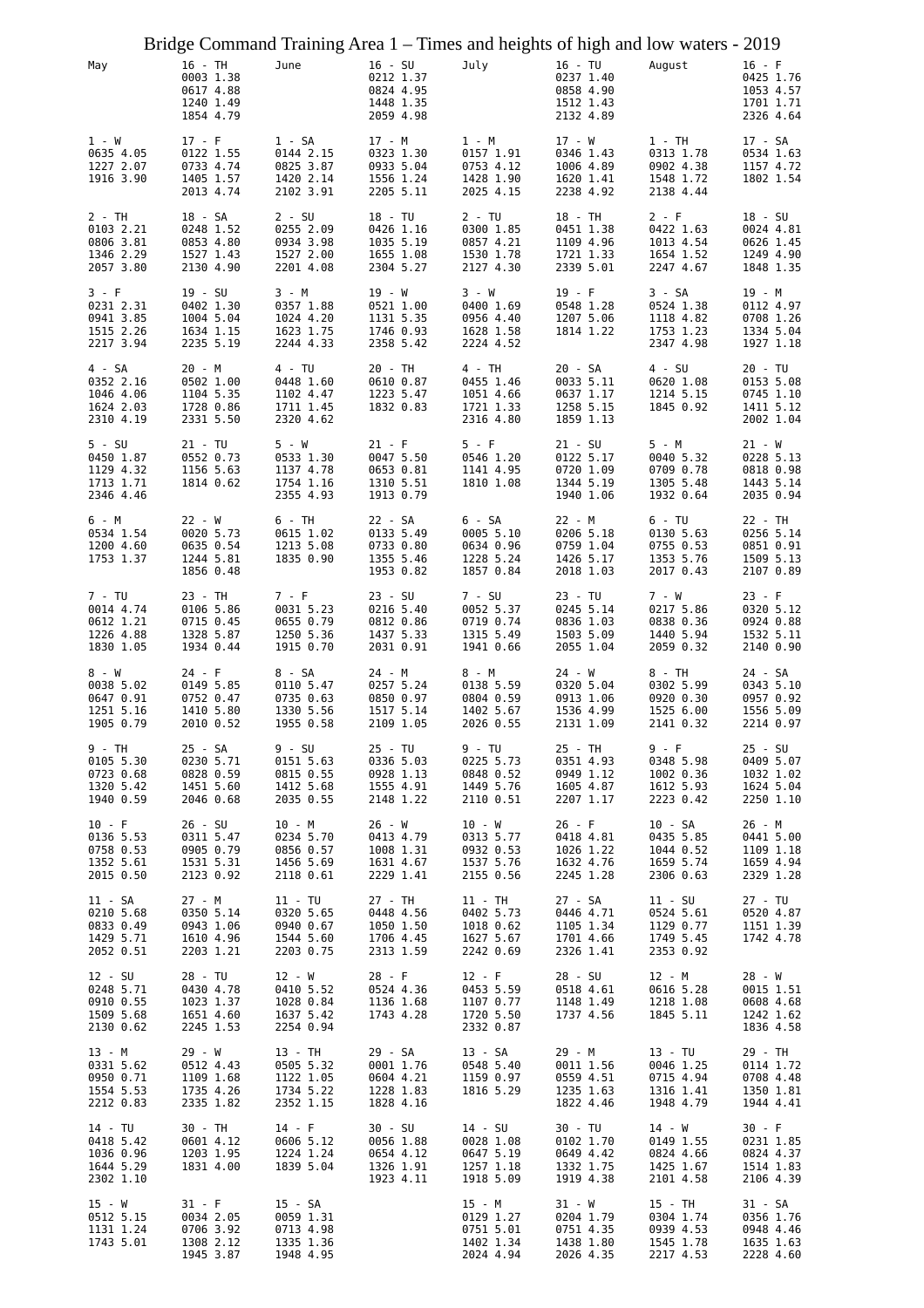|                                                              | Bridge Command Training Area 1 – Times and heights of high and low waters - 2019 |                                                              |                                                               |                                                              |                                                              |                                                              |                                                               |
|--------------------------------------------------------------|----------------------------------------------------------------------------------|--------------------------------------------------------------|---------------------------------------------------------------|--------------------------------------------------------------|--------------------------------------------------------------|--------------------------------------------------------------|---------------------------------------------------------------|
| May                                                          | 16 - TH<br>0003 1.38<br>0617 4.88<br>1240 1.49<br>1854 4.79                      | June                                                         | $16 - SU$<br>0212 1.37<br>0824 4.95<br>1448 1.35<br>2059 4.98 | July                                                         | 16 - TU<br>0237 1.40<br>0858 4.90<br>1512 1.43<br>2132 4.89  | August                                                       | $16 - F$<br>0425 1.76<br>1053 4.57<br>1701 1.71<br>2326 4.64  |
| 1 - W<br>0635 4.05<br>1227 2.07<br>1916 3.90                 | $17 - F$<br>0122 1.55<br>0733 4.74<br>1405 1.57<br>2013 4.74                     | 1 - SA<br>0144 2.15<br>0825 3.87<br>1420 2.14<br>2102 3.91   | 17 - M<br>0323 1.30<br>0933 5.04<br>1556 1.24<br>2205 5.11    | 1 - M<br>0157 1.91<br>0753 4.12<br>1428 1.90<br>2025 4.15    | $17 - W$<br>0346 1.43<br>1006 4.89<br>1620 1.41<br>2238 4.92 | $1 - TH$<br>0313 1.78<br>0902 4.38<br>1548 1.72<br>2138 4.44 | 17 - SA<br>0534 1.63<br>1157 4.72<br>1802 1.54                |
| 2 - TH<br>0103 2.21<br>0806 3.81<br>1346 2.29<br>2057 3.80   | 18 - SA<br>0248 1.52<br>0853 4.80<br>1527 1.43<br>2130 4.90                      | $2 - SU$<br>0255 2.09<br>0934 3.98<br>1527 2.00<br>2201 4.08 | 18 - TU<br>0426 1.16<br>1035 5.19<br>1655 1.08<br>2304 5.27   | $2 - TU$<br>0300 1.85<br>0857 4.21<br>1530 1.78<br>2127 4.30 | 18 - TH<br>0451 1.38<br>1109 4.96<br>1721 1.33<br>2339 5.01  | $2 - F$<br>0422 1.63<br>1013 4.54<br>1654 1.52<br>2247 4.67  | $18 - SU$<br>0024 4.81<br>0626 1.45<br>1249 4.90<br>1848 1.35 |
| 3 - F<br>0231 2.31<br>0941 3.85<br>1515 2.26<br>2217 3.94    | $19 - SU$<br>0402 1.30<br>1004 5.04<br>1634 1.15<br>2235 5.19                    | 3 - M<br>0357 1.88<br>1024 4.20<br>1623 1.75<br>2244 4.33    | 19 - W<br>0521 1.00<br>1131 5.35<br>1746 0.93<br>2358 5.42    | 3 - W<br>0400 1.69<br>0956 4.40<br>1628 1.58<br>2224 4.52    | $19 - F$<br>0548 1.28<br>1207 5.06<br>1814 1.22              | 3 - SA<br>0524 1.38<br>1118 4.82<br>1753 1.23<br>2347 4.98   | 19 - M<br>0112 4.97<br>0708 1.26<br>1334 5.04<br>1927 1.18    |
| 4 - SA<br>0352 2.16<br>1046 4.06<br>1624 2.03<br>2310 4.19   | 20 - M<br>0502 1.00<br>1104 5.35<br>1728 0.86<br>2331 5.50                       | 4 - TU<br>0448 1.60<br>1102 4.47<br>1711 1.45<br>2320 4.62   | 20 - TH<br>0610 0.87<br>1223 5.47<br>1832 0.83                | 4 - TH<br>0455 1.46<br>1051 4.66<br>1721 1.33<br>2316 4.80   | 20 - SA<br>0033 5.11<br>0637 1.17<br>1258 5.15<br>1859 1.13  | $4 - SU$<br>0620 1.08<br>1214 5.15<br>1845 0.92              | 20 - TU<br>0153 5.08<br>0745 1.10<br>1411 5.12<br>2002 1.04   |
| $5 - SU$<br>0450 1.87<br>1129 4.32<br>1713 1.71<br>2346 4.46 | $21 - TU$<br>0552 0.73<br>1156 5.63<br>1814 0.62                                 | 5 - W<br>0533 1.30<br>1137 4.78<br>1754 1.16<br>2355 4.93    | $21 - F$<br>0047 5.50<br>0653 0.81<br>1310 5.51<br>1913 0.79  | $5 - F$<br>0546 1.20<br>1141 4.95<br>1810 1.08               | 21 - SU<br>0122 5.17<br>0720 1.09<br>1344 5.19<br>1940 1.06  | 5 - M<br>0040 5.32<br>0709 0.78<br>1305 5.48<br>1932 0.64    | $21 - W$<br>0228 5.13<br>0818 0.98<br>1443 5.14<br>2035 0.94  |
| 6 - M<br>0534 1.54<br>1200 4.60<br>1753 1.37                 | 22 - W<br>0020 5.73<br>0635 0.54<br>1244 5.81<br>1856 0.48                       | 6 - TH<br>0615 1.02<br>1213 5.08<br>1835 0.90                | 22 - SA<br>0133 5.49<br>0733 0.80<br>1355 5.46<br>1953 0.82   | 6 - SA<br>0005 5.10<br>0634 0.96<br>1228 5.24<br>1857 0.84   | 22 - M<br>0206 5.18<br>0759 1.04<br>1426 5.17<br>2018 1.03   | 6 - TU<br>0130 5.63<br>0755 0.53<br>1353 5.76<br>2017 0.43   | 22 - TH<br>0256 5.14<br>0851 0.91<br>1509 5.13<br>2107 0.89   |
| 7 - TU<br>0014 4.74<br>0612 1.21<br>1226 4.88<br>1830 1.05   | 23 - TH<br>0106 5.86<br>0715 0.45<br>1328 5.87<br>1934 0.44                      | 7 - F<br>0031 5.23<br>0655 0.79<br>1250 5.36<br>1915 0.70    | $23 - SU$<br>0216 5.40<br>0812 0.86<br>1437 5.33<br>2031 0.91 | 7 - SU<br>0052 5.37<br>0719 0.74<br>1315 5.49<br>1941 0.66   | 23 - TU<br>0245 5.14<br>0836 1.03<br>1503 5.09<br>2055 1.04  | 7 - W<br>0217 5.86<br>0838 0.36<br>1440 5.94<br>2059 0.32    | $23 - F$<br>0320 5.12<br>0924 0.88<br>1532 5.11<br>2140 0.90  |
| 8 - W<br>0038 5.02<br>0647 0.91<br>1251 5.16<br>1905 0.79    | 24 - F<br>0149 5.85<br>0752 0.47<br>1410 5.80<br>2010 0.52                       | 8 - SA<br>0110 5.47<br>0735 0.63<br>1330 5.56<br>1955 0.58   | 24 - M<br>0257 5.24<br>0850 0.97<br>1517 5.14<br>2109 1.05    | 8 - M<br>0138 5.59<br>0804 0.59<br>1402 5.67<br>2026 0.55    | $24 - W$<br>0320 5.04<br>0913 1.06<br>1536 4.99<br>2131 1.09 | 8 - TH<br>0302 5.99<br>0920 0.30<br>1525 6.00<br>2141 0.32   | 24 - SA<br>0343 5.10<br>0957 0.92<br>1556 5.09<br>2214 0.97   |
| 9 - TH<br>0105 5.30<br>0723 0.68<br>1320 5.42<br>1940 0.59   | 25 - SA<br>0230 5.71<br>0828 0.59<br>1451 5.60<br>2046 0.68                      | 9 - SU<br>0151 5.63<br>0815 0.55<br>1412 5.68<br>2035 0.55   | 25 - TU<br>0336 5.03<br>0928 1.13<br>1555 4.91<br>2148 1.22   | 9 - TU<br>0225 5.73<br>0848 0.52<br>1449 5.76<br>2110 0.51   | 25 - TH<br>0351 4.93<br>0949 1.12<br>1605 4.87<br>2207 1.17  | 9 - F<br>0348 5.98<br>1002 0.36<br>1612 5.93<br>2223 0.42    | 25 - SU<br>0409 5.07<br>1032 1.02<br>1624 5.04<br>2250 1.10   |
| $10 - F$<br>0136 5.53<br>0758 0.53<br>1352 5.61<br>2015 0.50 | $26 - SU$<br>0311 5.47<br>0905 0.79<br>1531 5.31<br>2123 0.92                    | 10 - M<br>0234 5.70<br>0856 0.57<br>1456 5.69<br>2118 0.61   | $26 - W$<br>0413 4.79<br>1008 1.31<br>1631 4.67<br>2229 1.41  | 10 - W<br>0313 5.77<br>0932 0.53<br>1537 5.76<br>2155 0.56   | $26 - F$<br>0418 4.81<br>1026 1.22<br>1632 4.76<br>2245 1.28 | 10 - SA<br>0435 5.85<br>1044 0.52<br>1659 5.74<br>2306 0.63  | 26 - M<br>0441 5.00<br>1109 1.18<br>1659 4.94<br>2329 1.28    |
| 11 - SA<br>0210 5.68<br>0833 0.49<br>1429 5.71<br>2052 0.51  | 27 - M<br>0350 5.14<br>0943 1.06<br>1610 4.96<br>2203 1.21                       | 11 - TU<br>0320 5.65<br>0940 0.67<br>1544 5.60<br>2203 0.75  | 27 - TH<br>0448 4.56<br>1050 1.50<br>1706 4.45<br>2313 1.59   | 11 - TH<br>0402 5.73<br>1018 0.62<br>1627 5.67<br>2242 0.69  | 27 - SA<br>0446 4.71<br>1105 1.34<br>1701 4.66<br>2326 1.41  | 11 - SU<br>0524 5.61<br>1129 0.77<br>1749 5.45<br>2353 0.92  | 27 - TU<br>0520 4.87<br>1151 1.39<br>1742 4.78                |
| 12 - SU<br>0248 5.71<br>0910 0.55<br>1509 5.68<br>2130 0.62  | 28 - TU<br>0430 4.78<br>1023 1.37<br>1651 4.60<br>2245 1.53                      | 12 - W<br>0410 5.52<br>1028 0.84<br>1637 5.42<br>2254 0.94   | $28 - F$<br>0524 4.36<br>1136 1.68<br>1743 4.28               | $12 - F$<br>0453 5.59<br>1107 0.77<br>1720 5.50<br>2332 0.87 | 28 - SU<br>0518 4.61<br>1148 1.49<br>1737 4.56               | 12 - M<br>0616 5.28<br>1218 1.08<br>1845 5.11                | 28 - W<br>0015 1.51<br>0608 4.68<br>1242 1.62<br>1836 4.58    |
| 13 - M<br>0331 5.62<br>0950 0.71<br>1554 5.53<br>2212 0.83   | 29 - W<br>0512 4.43<br>1109 1.68<br>1735 4.26<br>2335 1.82                       | 13 - TH<br>0505 5.32<br>1122 1.05<br>1734 5.22<br>2352 1.15  | 29 - SA<br>0001 1.76<br>0604 4.21<br>1228 1.83<br>1828 4.16   | 13 - SA<br>0548 5.40<br>1159 0.97<br>1816 5.29               | 29 - M<br>0011 1.56<br>0559 4.51<br>1235 1.63<br>1822 4.46   | 13 - TU<br>0046 1.25<br>0715 4.94<br>1316 1.41<br>1948 4.79  | 29 - TH<br>0114 1.72<br>0708 4.48<br>1350 1.81<br>1944 4.41   |
| 14 - TU<br>0418 5.42<br>1036 0.96<br>1644 5.29<br>2302 1.10  | 30 - TH<br>0601 4.12<br>1203 1.95<br>1831 4.00                                   | $14 - F$<br>0606 5.12<br>1224 1.24<br>1839 5.04              | 30 - SU<br>0056 1.88<br>0654 4.12<br>1326 1.91<br>1923 4.11   | 14 - SU<br>0028 1.08<br>0647 5.19<br>1257 1.18<br>1918 5.09  | 30 - TU<br>0102 1.70<br>0649 4.42<br>1332 1.75<br>1919 4.38  | 14 - W<br>0149 1.55<br>0824 4.66<br>1425 1.67<br>2101 4.58   | $30 - F$<br>0231 1.85<br>0824 4.37<br>1514 1.83<br>2106 4.39  |
| 15 - W<br>0512 5.15<br>1131 1.24<br>1743 5.01                | $31 - F$<br>0034 2.05<br>0706 3.92<br>1308 2.12<br>1945 3.87                     | 15 - SA<br>0059 1.31<br>0713 4.98<br>1335 1.36<br>1948 4.95  |                                                               | 15 - M<br>0129 1.27<br>0751 5.01<br>1402 1.34<br>2024 4.94   | 31 - W<br>0204 1.79<br>0751 4.35<br>1438 1.80<br>2026 4.35   | 15 - TH<br>0304 1.74<br>0939 4.53<br>1545 1.78<br>2217 4.53  | 31 - SA<br>0356 1.76<br>0948 4.46<br>1635 1.63<br>2228 4.60   |